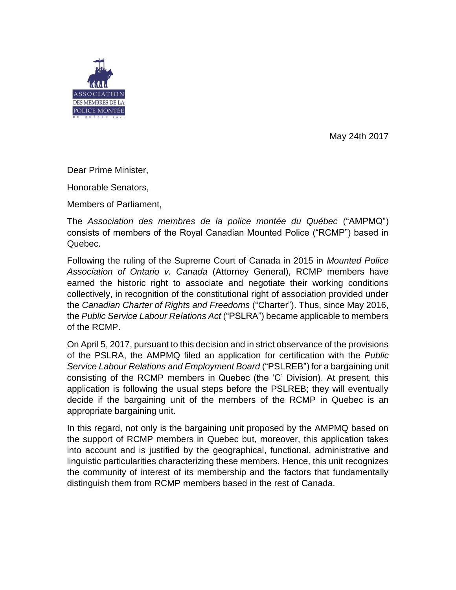

May 24th 2017

Dear Prime Minister,

Honorable Senators,

Members of Parliament,

The *Association des membres de la police montée du Québec* ("AMPMQ") consists of members of the Royal Canadian Mounted Police ("RCMP") based in Quebec.

Following the ruling of the Supreme Court of Canada in 2015 in *Mounted Police Association of Ontario v. Canada* (Attorney General), RCMP members have earned the historic right to associate and negotiate their working conditions collectively, in recognition of the constitutional right of association provided under the *Canadian Charter of Rights and Freedoms* ("Charter"). Thus, since May 2016, the *Public Service Labour Relations Act* ("PSLRA") became applicable to members of the RCMP.

On April 5, 2017, pursuant to this decision and in strict observance of the provisions of the PSLRA, the AMPMQ filed an application for certification with the *Public Service Labour Relations and Employment Board* ("PSLREB") for a bargaining unit consisting of the RCMP members in Quebec (the 'C' Division). At present, this application is following the usual steps before the PSLREB; they will eventually decide if the bargaining unit of the members of the RCMP in Quebec is an appropriate bargaining unit.

In this regard, not only is the bargaining unit proposed by the AMPMQ based on the support of RCMP members in Quebec but, moreover, this application takes into account and is justified by the geographical, functional, administrative and linguistic particularities characterizing these members. Hence, this unit recognizes the community of interest of its membership and the factors that fundamentally distinguish them from RCMP members based in the rest of Canada.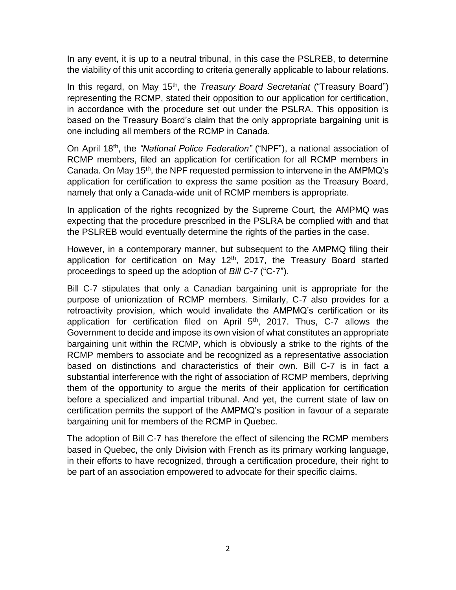In any event, it is up to a neutral tribunal, in this case the PSLREB, to determine the viability of this unit according to criteria generally applicable to labour relations.

In this regard, on May 15<sup>th</sup>, the *Treasury Board Secretariat* ("Treasury Board") representing the RCMP, stated their opposition to our application for certification, in accordance with the procedure set out under the PSLRA. This opposition is based on the Treasury Board's claim that the only appropriate bargaining unit is one including all members of the RCMP in Canada.

On April 18th, the *"National Police Federation"* ("NPF"), a national association of RCMP members, filed an application for certification for all RCMP members in Canada. On May 15<sup>th</sup>, the NPF requested permission to intervene in the AMPMQ's application for certification to express the same position as the Treasury Board, namely that only a Canada-wide unit of RCMP members is appropriate.

In application of the rights recognized by the Supreme Court, the AMPMQ was expecting that the procedure prescribed in the PSLRA be complied with and that the PSLREB would eventually determine the rights of the parties in the case.

However, in a contemporary manner, but subsequent to the AMPMQ filing their application for certification on May  $12<sup>th</sup>$ , 2017, the Treasury Board started proceedings to speed up the adoption of *Bill C-7* ("C-7").

Bill C-7 stipulates that only a Canadian bargaining unit is appropriate for the purpose of unionization of RCMP members. Similarly, C-7 also provides for a retroactivity provision, which would invalidate the AMPMQ's certification or its application for certification filed on April  $5<sup>th</sup>$ , 2017. Thus, C-7 allows the Government to decide and impose its own vision of what constitutes an appropriate bargaining unit within the RCMP, which is obviously a strike to the rights of the RCMP members to associate and be recognized as a representative association based on distinctions and characteristics of their own. Bill C-7 is in fact a substantial interference with the right of association of RCMP members, depriving them of the opportunity to argue the merits of their application for certification before a specialized and impartial tribunal. And yet, the current state of law on certification permits the support of the AMPMQ's position in favour of a separate bargaining unit for members of the RCMP in Quebec.

The adoption of Bill C-7 has therefore the effect of silencing the RCMP members based in Quebec, the only Division with French as its primary working language, in their efforts to have recognized, through a certification procedure, their right to be part of an association empowered to advocate for their specific claims.